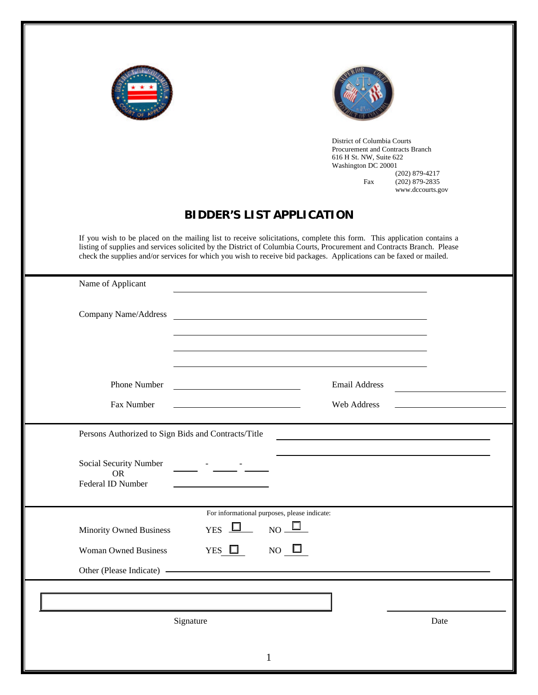



District of Columbia Courts Procurement and Contracts Branch 616 H St. NW, Suite 622 Washington DC 20001 (202) 879-4217 Fax (202) 879-2835 www.dccourts.gov

## **BIDDER'S LIST APPLICATION**

If you wish to be placed on the mailing list to receive solicitations, complete this form. This application contains a listing of supplies and services solicited by the District of Columbia Courts, Procurement and Contracts Branch. Please check the supplies and/or services for which you wish to receive bid packages. Applications can be faxed or mailed.

| Name of Applicant                                        |                                               |               |      |
|----------------------------------------------------------|-----------------------------------------------|---------------|------|
| Company Name/Address                                     | <u> 1980 - Andrea Andrew Maria (h. 1980).</u> |               |      |
|                                                          |                                               |               |      |
| Phone Number                                             |                                               | Email Address |      |
| Fax Number                                               |                                               | Web Address   |      |
| Persons Authorized to Sign Bids and Contracts/Title      |                                               |               |      |
| Social Security Number<br><b>OR</b><br>Federal ID Number |                                               |               |      |
| For informational purposes, please indicate:             |                                               |               |      |
| Minority Owned Business                                  | $NO -$<br><b>YES</b>                          |               |      |
| <b>Woman Owned Business</b>                              | YES $\Box$<br>NO $\Box$                       |               |      |
|                                                          |                                               |               |      |
|                                                          |                                               |               |      |
|                                                          | Signature                                     |               | Date |
|                                                          | 1                                             |               |      |